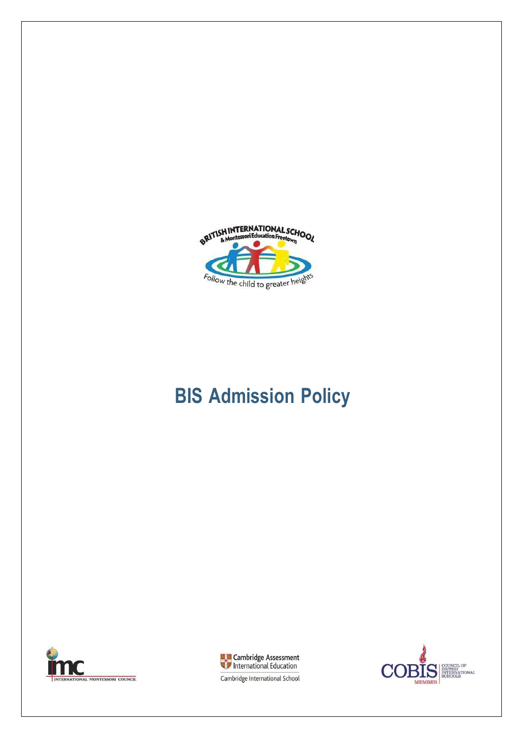

# **BIS Admission Policy**





COUNCIL OF<br>BRITISH<br>INTERNATIONAL<br>SCHOOLS  $\mathbf C$ LD **MEMBER** 

Cambridge International School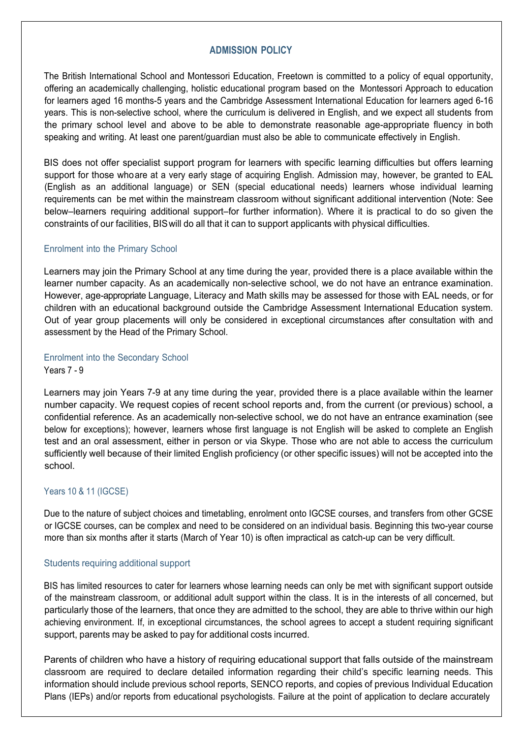# **ADMISSION POLICY**

The British International School and Montessori Education, Freetown is committed to a policy of equal opportunity, offering an academically challenging, holistic educational program based on the Montessori Approach to education for learners aged 16 months-5 years and the Cambridge Assessment International Education for learners aged 6-16 years. This is non-selective school, where the curriculum is delivered in English, and we expect all students from the primary school level and above to be able to demonstrate reasonable age-appropriate fluency in both speaking and writing. At least one parent/guardian must also be able to communicate effectively in English.

BIS does not offer specialist support program for learners with specific learning difficulties but offers learning support for those whoare at a very early stage of acquiring English. Admission may, however, be granted to EAL (English as an additional language) or SEN (special educational needs) learners whose individual learning requirements can be met within the mainstream classroom without significant additional intervention (Note: See below–learners requiring additional support–for further information). Where it is practical to do so given the constraints of our facilities, BIS will do all that it can to support applicants with physical difficulties.

#### Enrolment into the Primary School

Learners may join the Primary School at any time during the year, provided there is a place available within the learner number capacity. As an academically non-selective school, we do not have an entrance examination. However, age-appropriate Language, Literacy and Math skills may be assessed for those with EAL needs, or for children with an educational background outside the Cambridge Assessment International Education system. Out of year group placements will only be considered in exceptional circumstances after consultation with and assessment by the Head of the Primary School.

#### Enrolment into the Secondary School Years 7 - 9

Learners may join Years 7-9 at any time during the year, provided there is a place available within the learner number capacity. We request copies of recent school reports and, from the current (or previous) school, a confidential reference. As an academically non-selective school, we do not have an entrance examination (see below for exceptions); however, learners whose first language is not English will be asked to complete an English test and an oral assessment, either in person or via Skype. Those who are not able to access the curriculum sufficiently well because of their limited English proficiency (or other specific issues) will not be accepted into the school.

# Years 10 & 11 (IGCSE)

Due to the nature of subject choices and timetabling, enrolment onto IGCSE courses, and transfers from other GCSE or IGCSE courses, can be complex and need to be considered on an individual basis. Beginning this two-year course more than six months after it starts (March of Year 10) is often impractical as catch-up can be very difficult.

# Students requiring additional support

BIS has limited resources to cater for learners whose learning needs can only be met with significant support outside of the mainstream classroom, or additional adult support within the class. It is in the interests of all concerned, but particularly those of the learners, that once they are admitted to the school, they are able to thrive within our high achieving environment. If, in exceptional circumstances, the school agrees to accept a student requiring significant support, parents may be asked to pay for additional costs incurred.

Parents of children who have a history of requiring educational support that falls outside of the mainstream classroom are required to declare detailed information regarding their child's specific learning needs. This information should include previous school reports, SENCO reports, and copies of previous Individual Education Plans (IEPs) and/or reports from educational psychologists. Failure at the point of application to declare accurately